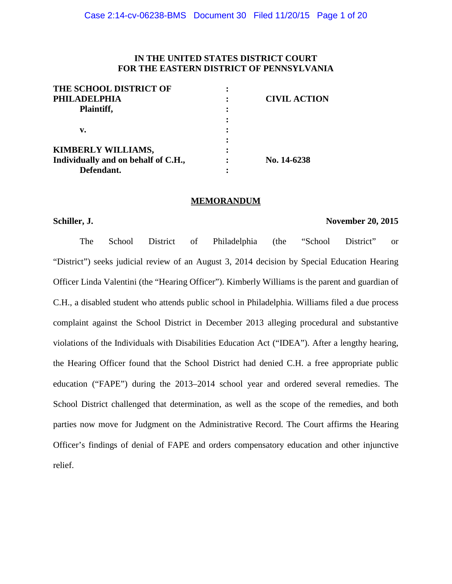## **IN THE UNITED STATES DISTRICT COURT FOR THE EASTERN DISTRICT OF PENNSYLVANIA**

| THE SCHOOL DISTRICT OF              |                     |
|-------------------------------------|---------------------|
| <b>PHILADELPHIA</b>                 | <b>CIVIL ACTION</b> |
| Plaintiff,                          |                     |
|                                     |                     |
| v.                                  |                     |
|                                     |                     |
| KIMBERLY WILLIAMS,                  |                     |
| Individually and on behalf of C.H., | No. 14-6238         |
| Defendant.                          |                     |

## **MEMORANDUM**

## **Schiller, J. November 20, 2015**

The School District of Philadelphia (the "School District" or "District") seeks judicial review of an August 3, 2014 decision by Special Education Hearing Officer Linda Valentini (the "Hearing Officer"). Kimberly Williams is the parent and guardian of C.H., a disabled student who attends public school in Philadelphia. Williams filed a due process complaint against the School District in December 2013 alleging procedural and substantive violations of the Individuals with Disabilities Education Act ("IDEA"). After a lengthy hearing, the Hearing Officer found that the School District had denied C.H. a free appropriate public education ("FAPE") during the 2013–2014 school year and ordered several remedies. The School District challenged that determination, as well as the scope of the remedies, and both parties now move for Judgment on the Administrative Record. The Court affirms the Hearing Officer's findings of denial of FAPE and orders compensatory education and other injunctive relief.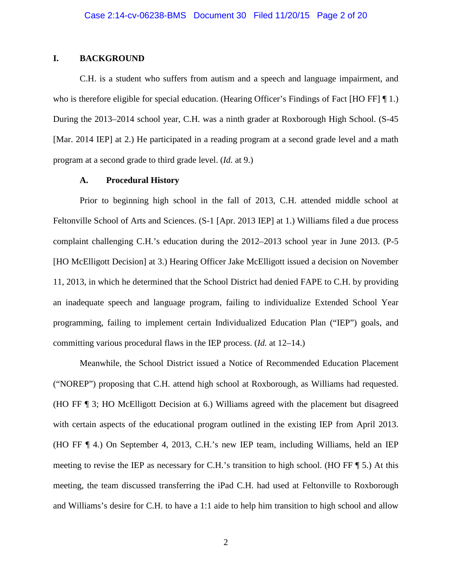## **I. BACKGROUND**

C.H. is a student who suffers from autism and a speech and language impairment, and who is therefore eligible for special education. (Hearing Officer's Findings of Fact [HO FF] 1.) During the 2013–2014 school year, C.H. was a ninth grader at Roxborough High School. (S-45 [Mar. 2014 IEP] at 2.) He participated in a reading program at a second grade level and a math program at a second grade to third grade level. (*Id.* at 9.)

## **A. Procedural History**

Prior to beginning high school in the fall of 2013, C.H. attended middle school at Feltonville School of Arts and Sciences. (S-1 [Apr. 2013 IEP] at 1.) Williams filed a due process complaint challenging C.H.'s education during the 2012–2013 school year in June 2013. (P-5 [HO McElligott Decision] at 3.) Hearing Officer Jake McElligott issued a decision on November 11, 2013, in which he determined that the School District had denied FAPE to C.H. by providing an inadequate speech and language program, failing to individualize Extended School Year programming, failing to implement certain Individualized Education Plan ("IEP") goals, and committing various procedural flaws in the IEP process. (*Id.* at 12–14.)

Meanwhile, the School District issued a Notice of Recommended Education Placement ("NOREP") proposing that C.H. attend high school at Roxborough, as Williams had requested. (HO FF ¶ 3; HO McElligott Decision at 6.) Williams agreed with the placement but disagreed with certain aspects of the educational program outlined in the existing IEP from April 2013. (HO FF ¶ 4.) On September 4, 2013, C.H.'s new IEP team, including Williams, held an IEP meeting to revise the IEP as necessary for C.H.'s transition to high school. (HO FF  $\P$  5.) At this meeting, the team discussed transferring the iPad C.H. had used at Feltonville to Roxborough and Williams's desire for C.H. to have a 1:1 aide to help him transition to high school and allow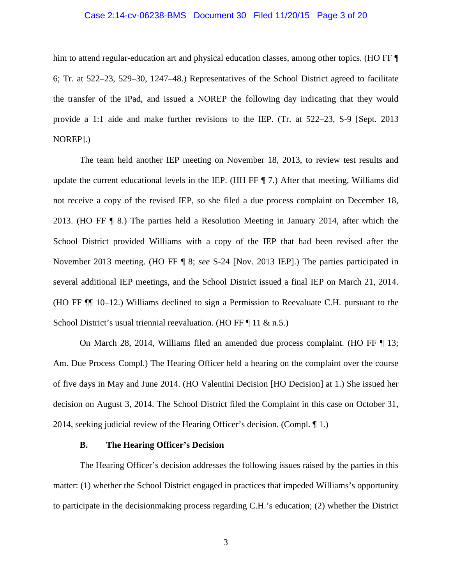## Case 2:14-cv-06238-BMS Document 30 Filed 11/20/15 Page 3 of 20

him to attend regular-education art and physical education classes, among other topics. (HO FF ¶ 6; Tr. at 522–23, 529–30, 1247–48.) Representatives of the School District agreed to facilitate the transfer of the iPad, and issued a NOREP the following day indicating that they would provide a 1:1 aide and make further revisions to the IEP. (Tr. at 522–23, S-9 [Sept. 2013 NOREP].)

The team held another IEP meeting on November 18, 2013, to review test results and update the current educational levels in the IEP. (HH FF ¶ 7.) After that meeting, Williams did not receive a copy of the revised IEP, so she filed a due process complaint on December 18, 2013. (HO FF ¶ 8.) The parties held a Resolution Meeting in January 2014, after which the School District provided Williams with a copy of the IEP that had been revised after the November 2013 meeting. (HO FF ¶ 8; *see* S-24 [Nov. 2013 IEP].) The parties participated in several additional IEP meetings, and the School District issued a final IEP on March 21, 2014. (HO FF ¶¶ 10–12.) Williams declined to sign a Permission to Reevaluate C.H. pursuant to the School District's usual triennial reevaluation. (HO FF ¶ 11 & n.5.)

On March 28, 2014, Williams filed an amended due process complaint. (HO FF ¶ 13; Am. Due Process Compl.) The Hearing Officer held a hearing on the complaint over the course of five days in May and June 2014. (HO Valentini Decision [HO Decision] at 1.) She issued her decision on August 3, 2014. The School District filed the Complaint in this case on October 31, 2014, seeking judicial review of the Hearing Officer's decision. (Compl. ¶ 1.)

## **B. The Hearing Officer's Decision**

The Hearing Officer's decision addresses the following issues raised by the parties in this matter: (1) whether the School District engaged in practices that impeded Williams's opportunity to participate in the decisionmaking process regarding C.H.'s education; (2) whether the District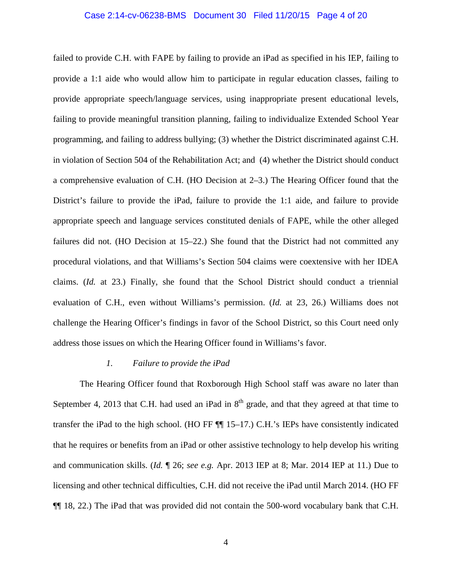## Case 2:14-cv-06238-BMS Document 30 Filed 11/20/15 Page 4 of 20

failed to provide C.H. with FAPE by failing to provide an iPad as specified in his IEP, failing to provide a 1:1 aide who would allow him to participate in regular education classes, failing to provide appropriate speech/language services, using inappropriate present educational levels, failing to provide meaningful transition planning, failing to individualize Extended School Year programming, and failing to address bullying; (3) whether the District discriminated against C.H. in violation of Section 504 of the Rehabilitation Act; and (4) whether the District should conduct a comprehensive evaluation of C.H. (HO Decision at 2–3.) The Hearing Officer found that the District's failure to provide the iPad, failure to provide the 1:1 aide, and failure to provide appropriate speech and language services constituted denials of FAPE, while the other alleged failures did not. (HO Decision at 15–22.) She found that the District had not committed any procedural violations, and that Williams's Section 504 claims were coextensive with her IDEA claims. (*Id.* at 23.) Finally, she found that the School District should conduct a triennial evaluation of C.H., even without Williams's permission. (*Id.* at 23, 26.) Williams does not challenge the Hearing Officer's findings in favor of the School District, so this Court need only address those issues on which the Hearing Officer found in Williams's favor.

#### *1. Failure to provide the iPad*

The Hearing Officer found that Roxborough High School staff was aware no later than September 4, 2013 that C.H. had used an iPad in  $8<sup>th</sup>$  grade, and that they agreed at that time to transfer the iPad to the high school. (HO FF ¶¶ 15–17.) C.H.'s IEPs have consistently indicated that he requires or benefits from an iPad or other assistive technology to help develop his writing and communication skills. (*Id.* ¶ 26; *see e.g.* Apr. 2013 IEP at 8; Mar. 2014 IEP at 11.) Due to licensing and other technical difficulties, C.H. did not receive the iPad until March 2014. (HO FF ¶¶ 18, 22.) The iPad that was provided did not contain the 500-word vocabulary bank that C.H.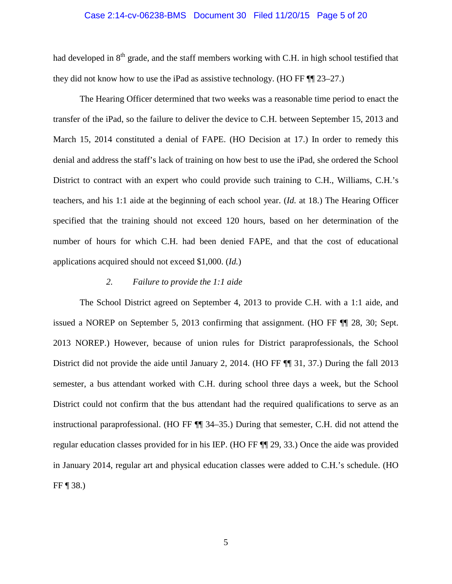## Case 2:14-cv-06238-BMS Document 30 Filed 11/20/15 Page 5 of 20

had developed in  $8<sup>th</sup>$  grade, and the staff members working with C.H. in high school testified that they did not know how to use the iPad as assistive technology. (HO FF ¶¶ 23–27.)

The Hearing Officer determined that two weeks was a reasonable time period to enact the transfer of the iPad, so the failure to deliver the device to C.H. between September 15, 2013 and March 15, 2014 constituted a denial of FAPE. (HO Decision at 17.) In order to remedy this denial and address the staff's lack of training on how best to use the iPad, she ordered the School District to contract with an expert who could provide such training to C.H., Williams, C.H.'s teachers, and his 1:1 aide at the beginning of each school year. (*Id.* at 18.) The Hearing Officer specified that the training should not exceed 120 hours, based on her determination of the number of hours for which C.H. had been denied FAPE, and that the cost of educational applications acquired should not exceed \$1,000. (*Id.*)

## *2. Failure to provide the 1:1 aide*

The School District agreed on September 4, 2013 to provide C.H. with a 1:1 aide, and issued a NOREP on September 5, 2013 confirming that assignment. (HO FF ¶¶ 28, 30; Sept. 2013 NOREP.) However, because of union rules for District paraprofessionals, the School District did not provide the aide until January 2, 2014. (HO FF  $\P$  31, 37.) During the fall 2013 semester, a bus attendant worked with C.H. during school three days a week, but the School District could not confirm that the bus attendant had the required qualifications to serve as an instructional paraprofessional. (HO FF ¶¶ 34–35.) During that semester, C.H. did not attend the regular education classes provided for in his IEP. (HO FF ¶¶ 29, 33.) Once the aide was provided in January 2014, regular art and physical education classes were added to C.H.'s schedule. (HO FF ¶ 38.)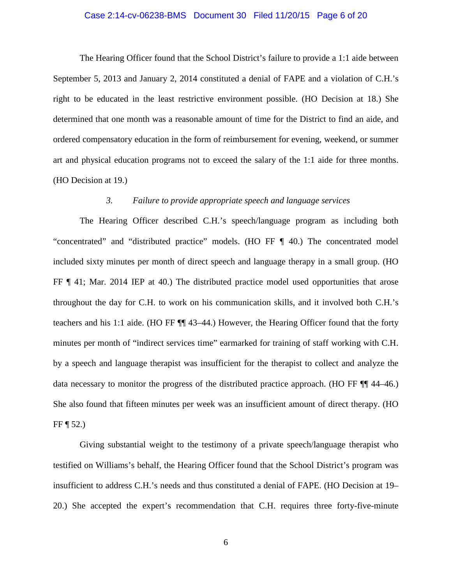## Case 2:14-cv-06238-BMS Document 30 Filed 11/20/15 Page 6 of 20

The Hearing Officer found that the School District's failure to provide a 1:1 aide between September 5, 2013 and January 2, 2014 constituted a denial of FAPE and a violation of C.H.'s right to be educated in the least restrictive environment possible. (HO Decision at 18.) She determined that one month was a reasonable amount of time for the District to find an aide, and ordered compensatory education in the form of reimbursement for evening, weekend, or summer art and physical education programs not to exceed the salary of the 1:1 aide for three months. (HO Decision at 19.)

## *3. Failure to provide appropriate speech and language services*

The Hearing Officer described C.H.'s speech/language program as including both "concentrated" and "distributed practice" models. (HO FF ¶ 40.) The concentrated model included sixty minutes per month of direct speech and language therapy in a small group. (HO FF ¶ 41; Mar. 2014 IEP at 40.) The distributed practice model used opportunities that arose throughout the day for C.H. to work on his communication skills, and it involved both C.H.'s teachers and his 1:1 aide. (HO FF ¶¶ 43–44.) However, the Hearing Officer found that the forty minutes per month of "indirect services time" earmarked for training of staff working with C.H. by a speech and language therapist was insufficient for the therapist to collect and analyze the data necessary to monitor the progress of the distributed practice approach. (HO FF ¶¶ 44–46.) She also found that fifteen minutes per week was an insufficient amount of direct therapy. (HO FF  $\P$  52.)

Giving substantial weight to the testimony of a private speech/language therapist who testified on Williams's behalf, the Hearing Officer found that the School District's program was insufficient to address C.H.'s needs and thus constituted a denial of FAPE. (HO Decision at 19– 20.) She accepted the expert's recommendation that C.H. requires three forty-five-minute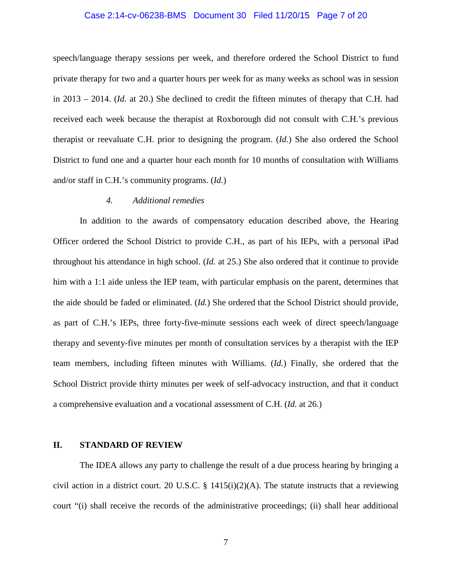## Case 2:14-cv-06238-BMS Document 30 Filed 11/20/15 Page 7 of 20

speech/language therapy sessions per week, and therefore ordered the School District to fund private therapy for two and a quarter hours per week for as many weeks as school was in session in 2013 – 2014. (*Id.* at 20.) She declined to credit the fifteen minutes of therapy that C.H. had received each week because the therapist at Roxborough did not consult with C.H.'s previous therapist or reevaluate C.H. prior to designing the program. (*Id.*) She also ordered the School District to fund one and a quarter hour each month for 10 months of consultation with Williams and/or staff in C.H.'s community programs. (*Id.*)

## *4. Additional remedies*

In addition to the awards of compensatory education described above, the Hearing Officer ordered the School District to provide C.H., as part of his IEPs, with a personal iPad throughout his attendance in high school. (*Id.* at 25.) She also ordered that it continue to provide him with a 1:1 aide unless the IEP team, with particular emphasis on the parent, determines that the aide should be faded or eliminated. (*Id.*) She ordered that the School District should provide, as part of C.H.'s IEPs, three forty-five-minute sessions each week of direct speech/language therapy and seventy-five minutes per month of consultation services by a therapist with the IEP team members, including fifteen minutes with Williams. (*Id.*) Finally, she ordered that the School District provide thirty minutes per week of self-advocacy instruction, and that it conduct a comprehensive evaluation and a vocational assessment of C.H. (*Id.* at 26.)

#### **II. STANDARD OF REVIEW**

The IDEA allows any party to challenge the result of a due process hearing by bringing a civil action in a district court. 20 U.S.C. § 1415(i)(2)(A). The statute instructs that a reviewing court "(i) shall receive the records of the administrative proceedings; (ii) shall hear additional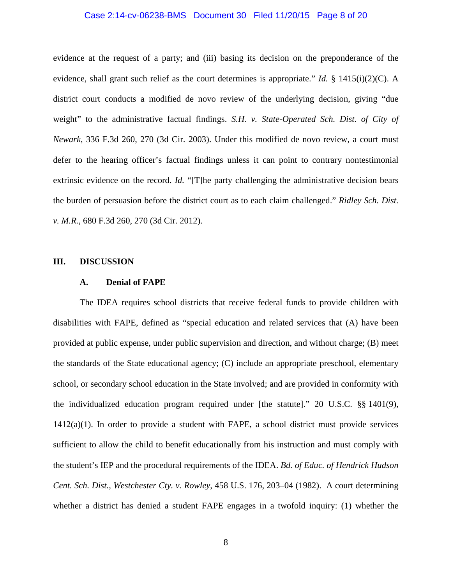# Case 2:14-cv-06238-BMS Document 30 Filed 11/20/15 Page 8 of 20

evidence at the request of a party; and (iii) basing its decision on the preponderance of the evidence, shall grant such relief as the court determines is appropriate." *Id.* § 1415(i)(2)(C). A district court conducts a modified de novo review of the underlying decision, giving "due weight" to the administrative factual findings. *S.H. v. State-Operated Sch. Dist. of City of Newark*, 336 F.3d 260, 270 (3d Cir. 2003). Under this modified de novo review, a court must defer to the hearing officer's factual findings unless it can point to contrary nontestimonial extrinsic evidence on the record. *Id.* "[T]he party challenging the administrative decision bears the burden of persuasion before the district court as to each claim challenged." *Ridley Sch. Dist. v. M.R.*, 680 F.3d 260, 270 (3d Cir. 2012).

#### **III. DISCUSSION**

## **A. Denial of FAPE**

The IDEA requires school districts that receive federal funds to provide children with disabilities with FAPE, defined as "special education and related services that (A) have been provided at public expense, under public supervision and direction, and without charge; (B) meet the standards of the State educational agency; (C) include an appropriate preschool, elementary school, or secondary school education in the State involved; and are provided in conformity with the individualized education program required under [the statute]." 20 U.S.C. §§ 1401(9),  $1412(a)(1)$ . In order to provide a student with FAPE, a school district must provide services sufficient to allow the child to benefit educationally from his instruction and must comply with the student's IEP and the procedural requirements of the IDEA. *Bd. of Educ. of Hendrick Hudson Cent. Sch. Dist., Westchester Cty. v. Rowley*, 458 U.S. 176, 203–04 (1982). A court determining whether a district has denied a student FAPE engages in a twofold inquiry: (1) whether the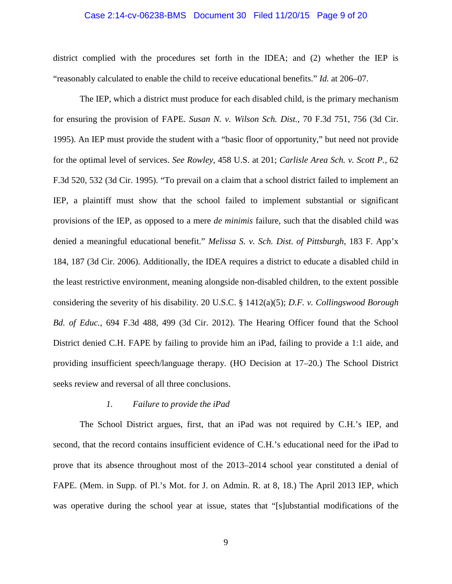## Case 2:14-cv-06238-BMS Document 30 Filed 11/20/15 Page 9 of 20

district complied with the procedures set forth in the IDEA; and (2) whether the IEP is "reasonably calculated to enable the child to receive educational benefits." *Id.* at 206–07.

The IEP, which a district must produce for each disabled child, is the primary mechanism for ensuring the provision of FAPE. *Susan N. v. Wilson Sch. Dist.*, 70 F.3d 751, 756 (3d Cir. 1995). An IEP must provide the student with a "basic floor of opportunity," but need not provide for the optimal level of services. *See Rowley*, 458 U.S. at 201; *Carlisle Area Sch. v. Scott P.*, 62 F.3d 520, 532 (3d Cir. 1995). "To prevail on a claim that a school district failed to implement an IEP, a plaintiff must show that the school failed to implement substantial or significant provisions of the IEP, as opposed to a mere *de minimis* failure, such that the disabled child was denied a meaningful educational benefit." *Melissa S. v. Sch. Dist. of Pittsburgh*, 183 F. App'x 184, 187 (3d Cir. 2006). Additionally, the IDEA requires a district to educate a disabled child in the least restrictive environment, meaning alongside non-disabled children, to the extent possible considering the severity of his disability. 20 U.S.C. § 1412(a)(5); *D.F. v. Collingswood Borough Bd. of Educ.*, 694 F.3d 488, 499 (3d Cir. 2012). The Hearing Officer found that the School District denied C.H. FAPE by failing to provide him an iPad, failing to provide a 1:1 aide, and providing insufficient speech/language therapy. (HO Decision at 17–20.) The School District seeks review and reversal of all three conclusions.

## *1. Failure to provide the iPad*

The School District argues, first, that an iPad was not required by C.H.'s IEP, and second, that the record contains insufficient evidence of C.H.'s educational need for the iPad to prove that its absence throughout most of the 2013–2014 school year constituted a denial of FAPE. (Mem. in Supp. of Pl.'s Mot. for J. on Admin. R. at 8, 18.) The April 2013 IEP, which was operative during the school year at issue, states that "[s]ubstantial modifications of the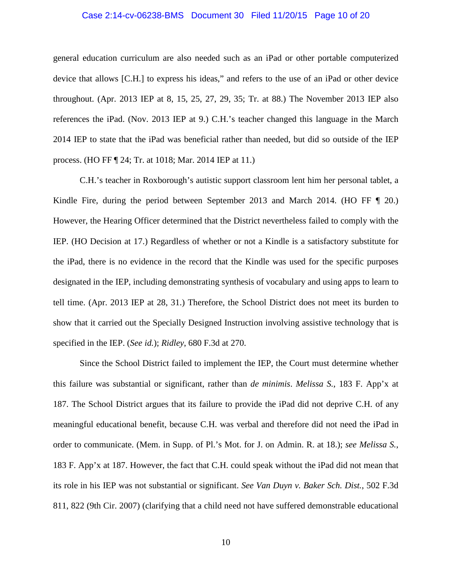## Case 2:14-cv-06238-BMS Document 30 Filed 11/20/15 Page 10 of 20

general education curriculum are also needed such as an iPad or other portable computerized device that allows [C.H.] to express his ideas," and refers to the use of an iPad or other device throughout. (Apr. 2013 IEP at 8, 15, 25, 27, 29, 35; Tr. at 88.) The November 2013 IEP also references the iPad. (Nov. 2013 IEP at 9.) C.H.'s teacher changed this language in the March 2014 IEP to state that the iPad was beneficial rather than needed, but did so outside of the IEP process. (HO FF ¶ 24; Tr. at 1018; Mar. 2014 IEP at 11.)

C.H.'s teacher in Roxborough's autistic support classroom lent him her personal tablet, a Kindle Fire, during the period between September 2013 and March 2014. (HO FF ¶ 20.) However, the Hearing Officer determined that the District nevertheless failed to comply with the IEP. (HO Decision at 17.) Regardless of whether or not a Kindle is a satisfactory substitute for the iPad, there is no evidence in the record that the Kindle was used for the specific purposes designated in the IEP, including demonstrating synthesis of vocabulary and using apps to learn to tell time. (Apr. 2013 IEP at 28, 31.) Therefore, the School District does not meet its burden to show that it carried out the Specially Designed Instruction involving assistive technology that is specified in the IEP. (*See id.*); *Ridley*, 680 F.3d at 270.

Since the School District failed to implement the IEP, the Court must determine whether this failure was substantial or significant, rather than *de minimis*. *Melissa S.*, 183 F. App'x at 187. The School District argues that its failure to provide the iPad did not deprive C.H. of any meaningful educational benefit, because C.H. was verbal and therefore did not need the iPad in order to communicate. (Mem. in Supp. of Pl.'s Mot. for J. on Admin. R. at 18.); *see Melissa S.*, 183 F. App'x at 187. However, the fact that C.H. could speak without the iPad did not mean that its role in his IEP was not substantial or significant. *See Van Duyn v. Baker Sch. Dist.*, 502 F.3d 811, 822 (9th Cir. 2007) (clarifying that a child need not have suffered demonstrable educational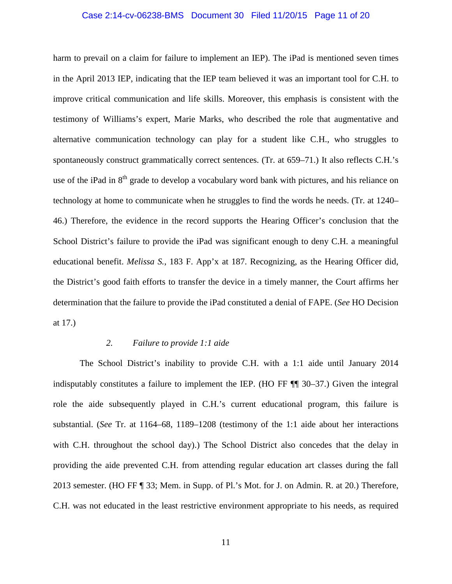## Case 2:14-cv-06238-BMS Document 30 Filed 11/20/15 Page 11 of 20

harm to prevail on a claim for failure to implement an IEP). The iPad is mentioned seven times in the April 2013 IEP, indicating that the IEP team believed it was an important tool for C.H. to improve critical communication and life skills. Moreover, this emphasis is consistent with the testimony of Williams's expert, Marie Marks, who described the role that augmentative and alternative communication technology can play for a student like C.H., who struggles to spontaneously construct grammatically correct sentences. (Tr. at 659–71.) It also reflects C.H.'s use of the iPad in 8<sup>th</sup> grade to develop a vocabulary word bank with pictures, and his reliance on technology at home to communicate when he struggles to find the words he needs. (Tr. at 1240– 46.) Therefore, the evidence in the record supports the Hearing Officer's conclusion that the School District's failure to provide the iPad was significant enough to deny C.H. a meaningful educational benefit. *Melissa S.*, 183 F. App'x at 187. Recognizing, as the Hearing Officer did, the District's good faith efforts to transfer the device in a timely manner, the Court affirms her determination that the failure to provide the iPad constituted a denial of FAPE. (*See* HO Decision at 17.)

## *2. Failure to provide 1:1 aide*

The School District's inability to provide C.H. with a 1:1 aide until January 2014 indisputably constitutes a failure to implement the IEP. (HO FF ¶¶ 30–37.) Given the integral role the aide subsequently played in C.H.'s current educational program, this failure is substantial. (*See* Tr. at 1164–68, 1189–1208 (testimony of the 1:1 aide about her interactions with C.H. throughout the school day).) The School District also concedes that the delay in providing the aide prevented C.H. from attending regular education art classes during the fall 2013 semester. (HO FF ¶ 33; Mem. in Supp. of Pl.'s Mot. for J. on Admin. R. at 20.) Therefore, C.H. was not educated in the least restrictive environment appropriate to his needs, as required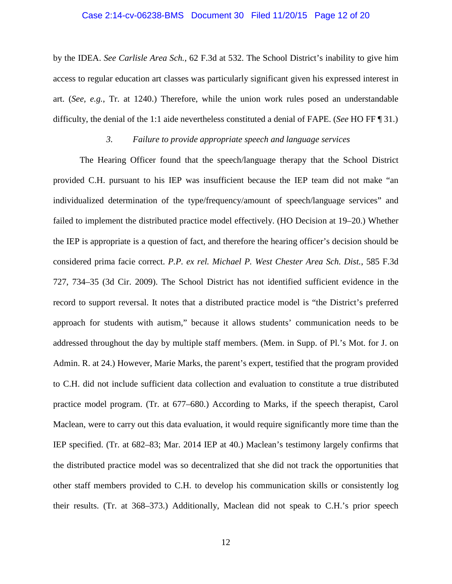## Case 2:14-cv-06238-BMS Document 30 Filed 11/20/15 Page 12 of 20

by the IDEA. *See Carlisle Area Sch.*, 62 F.3d at 532. The School District's inability to give him access to regular education art classes was particularly significant given his expressed interest in art. (*See, e.g.*, Tr. at 1240.) Therefore, while the union work rules posed an understandable difficulty, the denial of the 1:1 aide nevertheless constituted a denial of FAPE. (*See* HO FF ¶ 31.)

## *3. Failure to provide appropriate speech and language services*

The Hearing Officer found that the speech/language therapy that the School District provided C.H. pursuant to his IEP was insufficient because the IEP team did not make "an individualized determination of the type/frequency/amount of speech/language services" and failed to implement the distributed practice model effectively. (HO Decision at 19–20.) Whether the IEP is appropriate is a question of fact, and therefore the hearing officer's decision should be considered prima facie correct. *P.P. ex rel. Michael P. West Chester Area Sch. Dist.*, 585 F.3d 727, 734–35 (3d Cir. 2009). The School District has not identified sufficient evidence in the record to support reversal. It notes that a distributed practice model is "the District's preferred approach for students with autism," because it allows students' communication needs to be addressed throughout the day by multiple staff members. (Mem. in Supp. of Pl.'s Mot. for J. on Admin. R. at 24.) However, Marie Marks, the parent's expert, testified that the program provided to C.H. did not include sufficient data collection and evaluation to constitute a true distributed practice model program. (Tr. at 677–680.) According to Marks, if the speech therapist, Carol Maclean, were to carry out this data evaluation, it would require significantly more time than the IEP specified. (Tr. at 682–83; Mar. 2014 IEP at 40.) Maclean's testimony largely confirms that the distributed practice model was so decentralized that she did not track the opportunities that other staff members provided to C.H. to develop his communication skills or consistently log their results. (Tr. at 368–373.) Additionally, Maclean did not speak to C.H.'s prior speech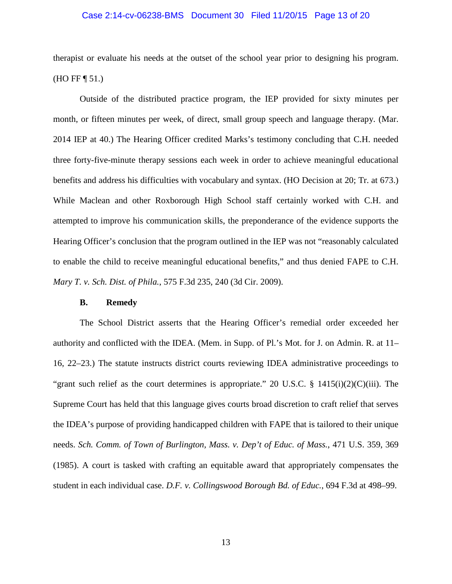## Case 2:14-cv-06238-BMS Document 30 Filed 11/20/15 Page 13 of 20

therapist or evaluate his needs at the outset of the school year prior to designing his program. (HO FF ¶ 51.)

Outside of the distributed practice program, the IEP provided for sixty minutes per month, or fifteen minutes per week, of direct, small group speech and language therapy. (Mar. 2014 IEP at 40.) The Hearing Officer credited Marks's testimony concluding that C.H. needed three forty-five-minute therapy sessions each week in order to achieve meaningful educational benefits and address his difficulties with vocabulary and syntax. (HO Decision at 20; Tr. at 673.) While Maclean and other Roxborough High School staff certainly worked with C.H. and attempted to improve his communication skills, the preponderance of the evidence supports the Hearing Officer's conclusion that the program outlined in the IEP was not "reasonably calculated to enable the child to receive meaningful educational benefits," and thus denied FAPE to C.H. *Mary T. v. Sch. Dist. of Phila.*, 575 F.3d 235, 240 (3d Cir. 2009).

## **B. Remedy**

The School District asserts that the Hearing Officer's remedial order exceeded her authority and conflicted with the IDEA. (Mem. in Supp. of Pl.'s Mot. for J. on Admin. R. at 11– 16, 22–23.) The statute instructs district courts reviewing IDEA administrative proceedings to "grant such relief as the court determines is appropriate." 20 U.S.C.  $\S$  1415(i)(2)(C)(iii). The Supreme Court has held that this language gives courts broad discretion to craft relief that serves the IDEA's purpose of providing handicapped children with FAPE that is tailored to their unique needs. *Sch. Comm. of Town of Burlington, Mass. v. Dep't of Educ. of Mass.*, 471 U.S. 359, 369 (1985). A court is tasked with crafting an equitable award that appropriately compensates the student in each individual case. *D.F. v. Collingswood Borough Bd. of Educ.*, 694 F.3d at 498–99.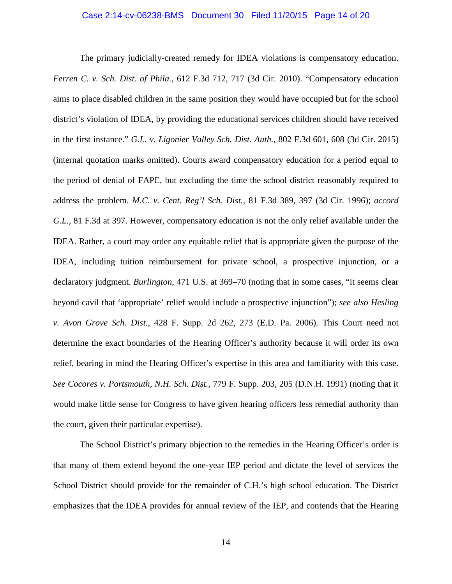The primary judicially-created remedy for IDEA violations is compensatory education. *Ferren C. v. Sch. Dist. of Phila.*, 612 F.3d 712, 717 (3d Cir. 2010). "Compensatory education aims to place disabled children in the same position they would have occupied but for the school district's violation of IDEA, by providing the educational services children should have received in the first instance." *G.L. v. Ligonier Valley Sch. Dist. Auth.*, 802 F.3d 601, 608 (3d Cir. 2015) (internal quotation marks omitted). Courts award compensatory education for a period equal to the period of denial of FAPE, but excluding the time the school district reasonably required to address the problem. *M.C. v. Cent. Reg'l Sch. Dist.*, 81 F.3d 389, 397 (3d Cir. 1996); *accord G.L.*, 81 F.3d at 397. However, compensatory education is not the only relief available under the IDEA. Rather, a court may order any equitable relief that is appropriate given the purpose of the IDEA, including tuition reimbursement for private school, a prospective injunction, or a declaratory judgment. *Burlington*, 471 U.S. at 369–70 (noting that in some cases, "it seems clear beyond cavil that 'appropriate' relief would include a prospective injunction"); *see also Hesling v. Avon Grove Sch. Dist.*, 428 F. Supp. 2d 262, 273 (E.D. Pa. 2006). This Court need not determine the exact boundaries of the Hearing Officer's authority because it will order its own relief, bearing in mind the Hearing Officer's expertise in this area and familiarity with this case. *See Cocores v. Portsmouth, N.H. Sch. Dist.*, 779 F. Supp. 203, 205 (D.N.H. 1991) (noting that it would make little sense for Congress to have given hearing officers less remedial authority than the court, given their particular expertise).

The School District's primary objection to the remedies in the Hearing Officer's order is that many of them extend beyond the one-year IEP period and dictate the level of services the School District should provide for the remainder of C.H.'s high school education. The District emphasizes that the IDEA provides for annual review of the IEP, and contends that the Hearing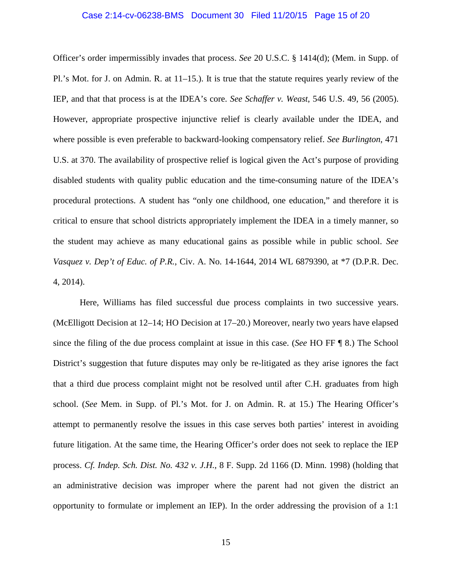## Case 2:14-cv-06238-BMS Document 30 Filed 11/20/15 Page 15 of 20

Officer's order impermissibly invades that process. *See* 20 U.S.C. § 1414(d); (Mem. in Supp. of Pl.'s Mot. for J. on Admin. R. at 11–15.). It is true that the statute requires yearly review of the IEP, and that that process is at the IDEA's core. *See Schaffer v. Weast*, 546 U.S. 49, 56 (2005). However, appropriate prospective injunctive relief is clearly available under the IDEA, and where possible is even preferable to backward-looking compensatory relief. *See Burlington*, 471 U.S. at 370. The availability of prospective relief is logical given the Act's purpose of providing disabled students with quality public education and the time-consuming nature of the IDEA's procedural protections. A student has "only one childhood, one education," and therefore it is critical to ensure that school districts appropriately implement the IDEA in a timely manner, so the student may achieve as many educational gains as possible while in public school. *See Vasquez v. Dep't of Educ. of P.R.*, Civ. A. No. 14-1644, 2014 WL 6879390, at \*7 (D.P.R. Dec. 4, 2014).

Here, Williams has filed successful due process complaints in two successive years. (McElligott Decision at 12–14; HO Decision at 17–20.) Moreover, nearly two years have elapsed since the filing of the due process complaint at issue in this case. (*See* HO FF ¶ 8.) The School District's suggestion that future disputes may only be re-litigated as they arise ignores the fact that a third due process complaint might not be resolved until after C.H. graduates from high school. (*See* Mem. in Supp. of Pl.'s Mot. for J. on Admin. R. at 15.) The Hearing Officer's attempt to permanently resolve the issues in this case serves both parties' interest in avoiding future litigation. At the same time, the Hearing Officer's order does not seek to replace the IEP process. *Cf. Indep. Sch. Dist. No. 432 v. J.H.*, 8 F. Supp. 2d 1166 (D. Minn. 1998) (holding that an administrative decision was improper where the parent had not given the district an opportunity to formulate or implement an IEP). In the order addressing the provision of a 1:1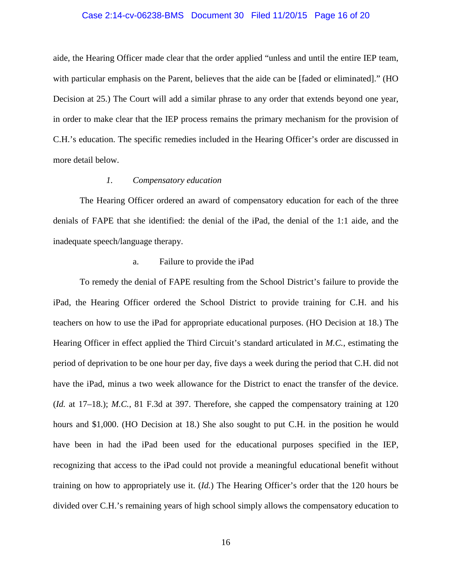#### Case 2:14-cv-06238-BMS Document 30 Filed 11/20/15 Page 16 of 20

aide, the Hearing Officer made clear that the order applied "unless and until the entire IEP team, with particular emphasis on the Parent, believes that the aide can be [faded or eliminated]." (HO Decision at 25.) The Court will add a similar phrase to any order that extends beyond one year, in order to make clear that the IEP process remains the primary mechanism for the provision of C.H.'s education. The specific remedies included in the Hearing Officer's order are discussed in more detail below.

## *1. Compensatory education*

The Hearing Officer ordered an award of compensatory education for each of the three denials of FAPE that she identified: the denial of the iPad, the denial of the 1:1 aide, and the inadequate speech/language therapy.

## a. Failure to provide the iPad

To remedy the denial of FAPE resulting from the School District's failure to provide the iPad, the Hearing Officer ordered the School District to provide training for C.H. and his teachers on how to use the iPad for appropriate educational purposes. (HO Decision at 18.) The Hearing Officer in effect applied the Third Circuit's standard articulated in *M.C.*, estimating the period of deprivation to be one hour per day, five days a week during the period that C.H. did not have the iPad, minus a two week allowance for the District to enact the transfer of the device. (*Id.* at 17–18.); *M.C.*, 81 F.3d at 397. Therefore, she capped the compensatory training at 120 hours and \$1,000. (HO Decision at 18.) She also sought to put C.H. in the position he would have been in had the iPad been used for the educational purposes specified in the IEP, recognizing that access to the iPad could not provide a meaningful educational benefit without training on how to appropriately use it. (*Id.*) The Hearing Officer's order that the 120 hours be divided over C.H.'s remaining years of high school simply allows the compensatory education to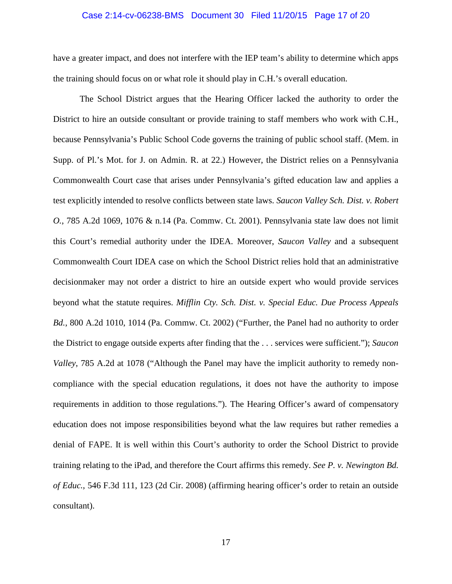## Case 2:14-cv-06238-BMS Document 30 Filed 11/20/15 Page 17 of 20

have a greater impact, and does not interfere with the IEP team's ability to determine which apps the training should focus on or what role it should play in C.H.'s overall education.

The School District argues that the Hearing Officer lacked the authority to order the District to hire an outside consultant or provide training to staff members who work with C.H., because Pennsylvania's Public School Code governs the training of public school staff. (Mem. in Supp. of Pl.'s Mot. for J. on Admin. R. at 22.) However, the District relies on a Pennsylvania Commonwealth Court case that arises under Pennsylvania's gifted education law and applies a test explicitly intended to resolve conflicts between state laws. *Saucon Valley Sch. Dist. v. Robert O.*, 785 A.2d 1069, 1076 & n.14 (Pa. Commw. Ct. 2001). Pennsylvania state law does not limit this Court's remedial authority under the IDEA. Moreover, *Saucon Valley* and a subsequent Commonwealth Court IDEA case on which the School District relies hold that an administrative decisionmaker may not order a district to hire an outside expert who would provide services beyond what the statute requires. *Mifflin Cty. Sch. Dist. v. Special Educ. Due Process Appeals Bd.*, 800 A.2d 1010, 1014 (Pa. Commw. Ct. 2002) ("Further, the Panel had no authority to order the District to engage outside experts after finding that the . . . services were sufficient."); *Saucon Valley*, 785 A.2d at 1078 ("Although the Panel may have the implicit authority to remedy noncompliance with the special education regulations, it does not have the authority to impose requirements in addition to those regulations."). The Hearing Officer's award of compensatory education does not impose responsibilities beyond what the law requires but rather remedies a denial of FAPE. It is well within this Court's authority to order the School District to provide training relating to the iPad, and therefore the Court affirms this remedy. *See P. v. Newington Bd. of Educ.*, 546 F.3d 111, 123 (2d Cir. 2008) (affirming hearing officer's order to retain an outside consultant).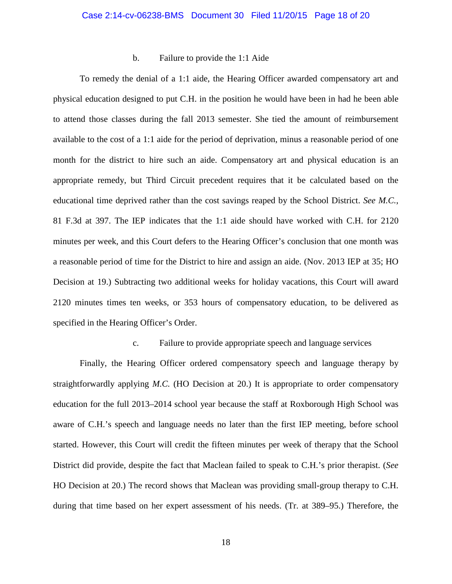## b. Failure to provide the 1:1 Aide

To remedy the denial of a 1:1 aide, the Hearing Officer awarded compensatory art and physical education designed to put C.H. in the position he would have been in had he been able to attend those classes during the fall 2013 semester. She tied the amount of reimbursement available to the cost of a 1:1 aide for the period of deprivation, minus a reasonable period of one month for the district to hire such an aide. Compensatory art and physical education is an appropriate remedy, but Third Circuit precedent requires that it be calculated based on the educational time deprived rather than the cost savings reaped by the School District. *See M.C.*, 81 F.3d at 397. The IEP indicates that the 1:1 aide should have worked with C.H. for 2120 minutes per week, and this Court defers to the Hearing Officer's conclusion that one month was a reasonable period of time for the District to hire and assign an aide. (Nov. 2013 IEP at 35; HO Decision at 19.) Subtracting two additional weeks for holiday vacations, this Court will award 2120 minutes times ten weeks, or 353 hours of compensatory education, to be delivered as specified in the Hearing Officer's Order.

## c. Failure to provide appropriate speech and language services

Finally, the Hearing Officer ordered compensatory speech and language therapy by straightforwardly applying *M.C.* (HO Decision at 20.) It is appropriate to order compensatory education for the full 2013–2014 school year because the staff at Roxborough High School was aware of C.H.'s speech and language needs no later than the first IEP meeting, before school started. However, this Court will credit the fifteen minutes per week of therapy that the School District did provide, despite the fact that Maclean failed to speak to C.H.'s prior therapist. (*See*  HO Decision at 20.) The record shows that Maclean was providing small-group therapy to C.H. during that time based on her expert assessment of his needs. (Tr. at 389–95.) Therefore, the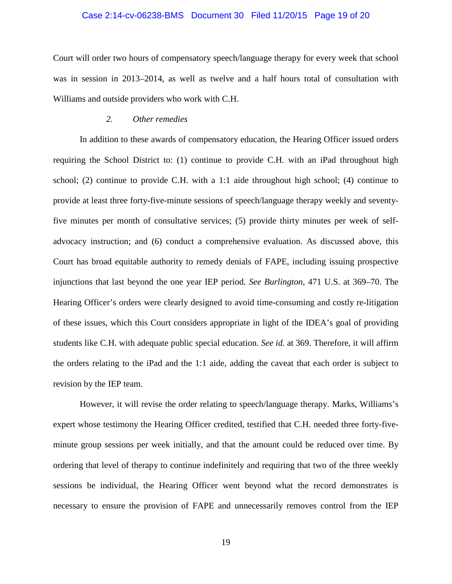## Case 2:14-cv-06238-BMS Document 30 Filed 11/20/15 Page 19 of 20

Court will order two hours of compensatory speech/language therapy for every week that school was in session in 2013–2014, as well as twelve and a half hours total of consultation with Williams and outside providers who work with C.H.

#### *2. Other remedies*

In addition to these awards of compensatory education, the Hearing Officer issued orders requiring the School District to: (1) continue to provide C.H. with an iPad throughout high school; (2) continue to provide C.H. with a 1:1 aide throughout high school; (4) continue to provide at least three forty-five-minute sessions of speech/language therapy weekly and seventyfive minutes per month of consultative services; (5) provide thirty minutes per week of selfadvocacy instruction; and (6) conduct a comprehensive evaluation. As discussed above, this Court has broad equitable authority to remedy denials of FAPE, including issuing prospective injunctions that last beyond the one year IEP period. *See Burlington*, 471 U.S. at 369–70. The Hearing Officer's orders were clearly designed to avoid time-consuming and costly re-litigation of these issues, which this Court considers appropriate in light of the IDEA's goal of providing students like C.H. with adequate public special education. *See id.* at 369. Therefore, it will affirm the orders relating to the iPad and the 1:1 aide, adding the caveat that each order is subject to revision by the IEP team.

However, it will revise the order relating to speech/language therapy. Marks, Williams's expert whose testimony the Hearing Officer credited, testified that C.H. needed three forty-fiveminute group sessions per week initially, and that the amount could be reduced over time. By ordering that level of therapy to continue indefinitely and requiring that two of the three weekly sessions be individual, the Hearing Officer went beyond what the record demonstrates is necessary to ensure the provision of FAPE and unnecessarily removes control from the IEP